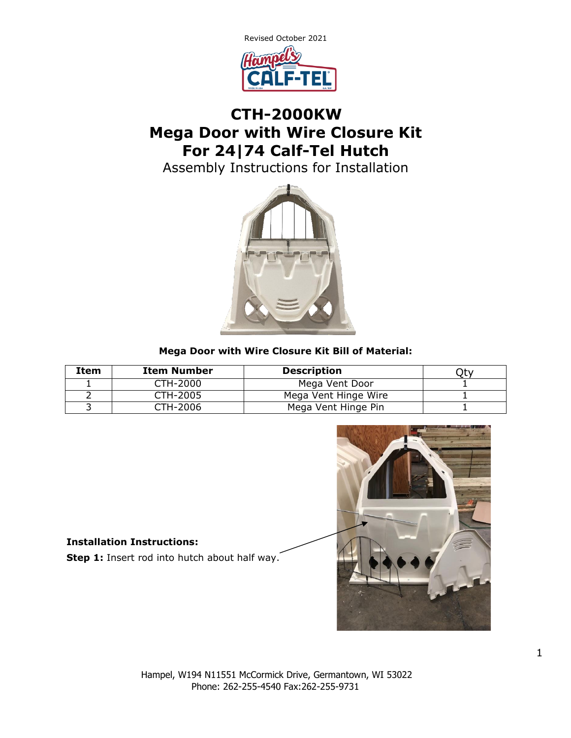

## **CTH-2000KW Mega Door with Wire Closure Kit For 24|74 Calf-Tel Hutch**

Assembly Instructions for Installation



## **Mega Door with Wire Closure Kit Bill of Material:**

| Item | <b>Item Number</b> | <b>Description</b>   |  |
|------|--------------------|----------------------|--|
|      | CTH-2000           | Mega Vent Door       |  |
|      | CTH-2005           | Mega Vent Hinge Wire |  |
|      | CTH-2006           | Mega Vent Hinge Pin  |  |



## **Installation Instructions:**

**Step 1:** Insert rod into hutch about half way.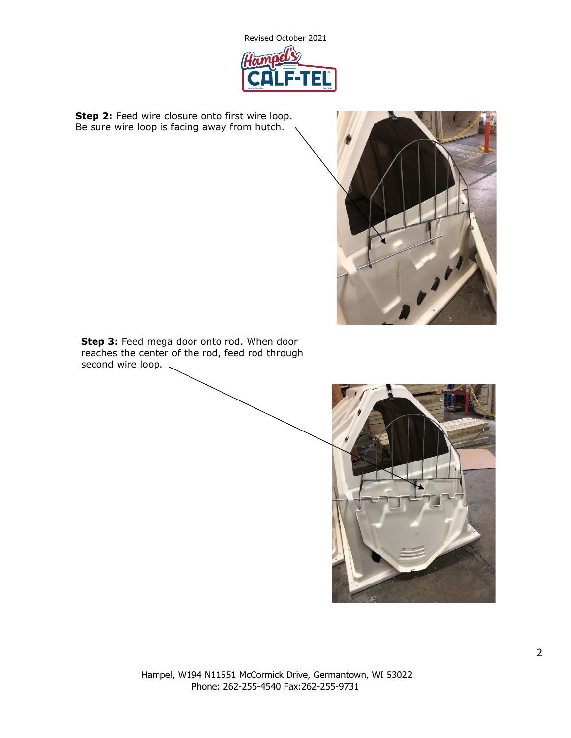

**Step 2:** Feed wire closure onto first wire loop. Be sure wire loop is facing away from hutch.



**Step 3:** Feed mega door onto rod. When door reaches the center of the rod, feed rod through second wire loop.

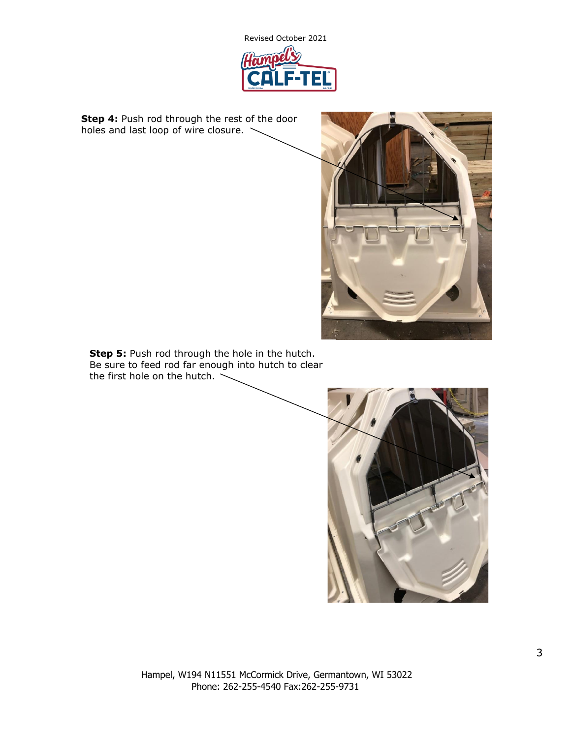

**Step 4:** Push rod through the rest of the door holes and last loop of wire closure.



**Step 5:** Push rod through the hole in the hutch. Be sure to feed rod far enough into hutch to clear the first hole on the hutch.